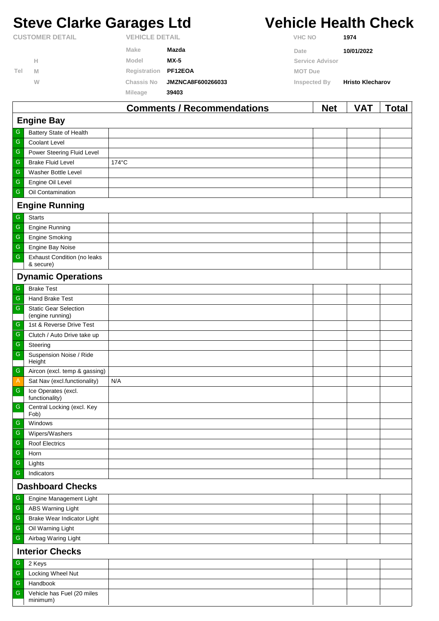# **Steve Clarke Garages Ltd Vehicle Health Check**

minimum)

|                        |   |                | Comments / Recommendations |                | <b>Net</b>      | VAT                     | Total |  |
|------------------------|---|----------------|----------------------------|----------------|-----------------|-------------------------|-------|--|
|                        |   | <b>Mileage</b> | 39403                      |                |                 |                         |       |  |
|                        | W | Chassis No     | <b>JMZNCA8F600266033</b>   | Inspected By   |                 | <b>Hristo Klecharov</b> |       |  |
| Tel                    | M | Registration   | PF12EOA                    | <b>MOT Due</b> |                 |                         |       |  |
|                        | н | Model          | <b>MX-5</b>                |                | Service Advisor |                         |       |  |
|                        |   | Make           | Mazda                      | Date           |                 | 10/01/2022              |       |  |
| <b>CUSTOMER DETAIL</b> |   |                | <b>VEHICLE DETAIL</b>      |                | <b>VHC NO</b>   | 1974                    |       |  |

|                   |                                                  | COMMITED / RECOMMITED ACTIONS | <b>IAGL</b> | VAI | <u>i</u> Oldi |  |  |  |
|-------------------|--------------------------------------------------|-------------------------------|-------------|-----|---------------|--|--|--|
| <b>Engine Bay</b> |                                                  |                               |             |     |               |  |  |  |
| G                 | Battery State of Health                          |                               |             |     |               |  |  |  |
| ${\mathsf G}$     | Coolant Level                                    |                               |             |     |               |  |  |  |
| G                 | Power Steering Fluid Level                       |                               |             |     |               |  |  |  |
| G                 | <b>Brake Fluid Level</b>                         | $174^{\circ}$ C               |             |     |               |  |  |  |
| ${\mathsf G}$     | Washer Bottle Level                              |                               |             |     |               |  |  |  |
| ${\mathsf G}$     | Engine Oil Level                                 |                               |             |     |               |  |  |  |
| G                 | Oil Contamination                                |                               |             |     |               |  |  |  |
|                   | <b>Engine Running</b>                            |                               |             |     |               |  |  |  |
| ${\mathsf G}$     | <b>Starts</b>                                    |                               |             |     |               |  |  |  |
| G                 | <b>Engine Running</b>                            |                               |             |     |               |  |  |  |
| ${\mathsf G}$     | <b>Engine Smoking</b>                            |                               |             |     |               |  |  |  |
| ${\mathsf G}$     | Engine Bay Noise                                 |                               |             |     |               |  |  |  |
| ${\mathsf G}$     | <b>Exhaust Condition (no leaks</b><br>& secure)  |                               |             |     |               |  |  |  |
|                   | <b>Dynamic Operations</b>                        |                               |             |     |               |  |  |  |
| ${\mathsf G}$     | <b>Brake Test</b>                                |                               |             |     |               |  |  |  |
| G                 | Hand Brake Test                                  |                               |             |     |               |  |  |  |
| ${\mathsf G}$     | <b>Static Gear Selection</b><br>(engine running) |                               |             |     |               |  |  |  |
| G                 | 1st & Reverse Drive Test                         |                               |             |     |               |  |  |  |
| ${\mathsf G}$     | Clutch / Auto Drive take up                      |                               |             |     |               |  |  |  |
| ${\mathsf G}$     | Steering                                         |                               |             |     |               |  |  |  |
| ${\mathsf G}$     | Suspension Noise / Ride<br>Height                |                               |             |     |               |  |  |  |
| ${\mathsf G}$     | Aircon (excl. temp & gassing)                    |                               |             |     |               |  |  |  |
| A                 | Sat Nav (excl.functionality)                     | N/A                           |             |     |               |  |  |  |
| ${\mathsf G}$     | Ice Operates (excl.<br>functionality)            |                               |             |     |               |  |  |  |
| ${\mathsf G}$     | Central Locking (excl. Key<br>Fob)               |                               |             |     |               |  |  |  |
| ${\mathsf G}$     | Windows                                          |                               |             |     |               |  |  |  |
| ${\mathsf G}$     | Wipers/Washers                                   |                               |             |     |               |  |  |  |
| G                 | <b>Roof Electrics</b>                            |                               |             |     |               |  |  |  |
| G                 | Horn                                             |                               |             |     |               |  |  |  |
| ${\mathsf G}$     | Lights                                           |                               |             |     |               |  |  |  |
| ${\mathbb G}$     | Indicators                                       |                               |             |     |               |  |  |  |
|                   | <b>Dashboard Checks</b>                          |                               |             |     |               |  |  |  |
| ${\mathsf G}$     | Engine Management Light                          |                               |             |     |               |  |  |  |
| G                 | <b>ABS Warning Light</b>                         |                               |             |     |               |  |  |  |
| ${\mathbb G}$     | Brake Wear Indicator Light                       |                               |             |     |               |  |  |  |
| G                 | Oil Warning Light                                |                               |             |     |               |  |  |  |
| ${\mathbb G}$     | Airbag Waring Light                              |                               |             |     |               |  |  |  |
|                   | <b>Interior Checks</b>                           |                               |             |     |               |  |  |  |
| G                 | 2 Keys                                           |                               |             |     |               |  |  |  |
| G                 | Locking Wheel Nut                                |                               |             |     |               |  |  |  |
| ${\mathsf G}$     | Handbook                                         |                               |             |     |               |  |  |  |
| ${\mathbb G}$     | Vehicle has Fuel (20 miles                       |                               |             |     |               |  |  |  |